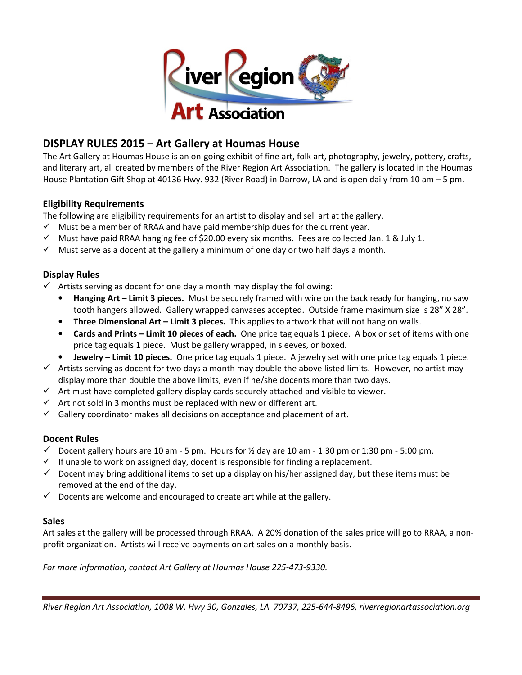

# DISPLAY RULES 2015 – Art Gallery at Houmas House

The Art Gallery at Houmas House is an on-going exhibit of fine art, folk art, photography, jewelry, pottery, crafts, and literary art, all created by members of the River Region Art Association. The gallery is located in the Houmas House Plantation Gift Shop at 40136 Hwy. 932 (River Road) in Darrow, LA and is open daily from 10 am – 5 pm.

## Eligibility Requirements

The following are eligibility requirements for an artist to display and sell art at the gallery.

- $\checkmark$  Must be a member of RRAA and have paid membership dues for the current year.
- $\checkmark$  Must have paid RRAA hanging fee of \$20.00 every six months. Fees are collected Jan. 1 & July 1.
- $\checkmark$  Must serve as a docent at the gallery a minimum of one day or two half days a month.

## Display Rules

- $\checkmark$  Artists serving as docent for one day a month may display the following:
	- Hanging Art Limit 3 pieces. Must be securely framed with wire on the back ready for hanging, no saw tooth hangers allowed. Gallery wrapped canvases accepted. Outside frame maximum size is 28" X 28".
	- Three Dimensional Art Limit 3 pieces. This applies to artwork that will not hang on walls.
	- Cards and Prints Limit 10 pieces of each. One price tag equals 1 piece. A box or set of items with one price tag equals 1 piece. Must be gallery wrapped, in sleeves, or boxed.
	- Jewelry Limit 10 pieces. One price tag equals 1 piece. A jewelry set with one price tag equals 1 piece.
- $\checkmark$  Artists serving as docent for two days a month may double the above listed limits. However, no artist may display more than double the above limits, even if he/she docents more than two days.
- $\checkmark$  Art must have completed gallery display cards securely attached and visible to viewer.
- $\checkmark$  Art not sold in 3 months must be replaced with new or different art.
- $\checkmark$  Gallery coordinator makes all decisions on acceptance and placement of art.

#### Docent Rules

- $\checkmark$  Docent gallery hours are 10 am 5 pm. Hours for  $\frac{1}{2}$  day are 10 am 1:30 pm or 1:30 pm 5:00 pm.
- $\checkmark$  If unable to work on assigned day, docent is responsible for finding a replacement.
- $\checkmark$  Docent may bring additional items to set up a display on his/her assigned day, but these items must be removed at the end of the day.
- $\checkmark$  Docents are welcome and encouraged to create art while at the gallery.

#### **Sales**

Art sales at the gallery will be processed through RRAA. A 20% donation of the sales price will go to RRAA, a nonprofit organization. Artists will receive payments on art sales on a monthly basis.

For more information, contact Art Gallery at Houmas House 225-473-9330.

River Region Art Association, 1008 W. Hwy 30, Gonzales, LA 70737, 225-644-8496, riverregionartassociation.org